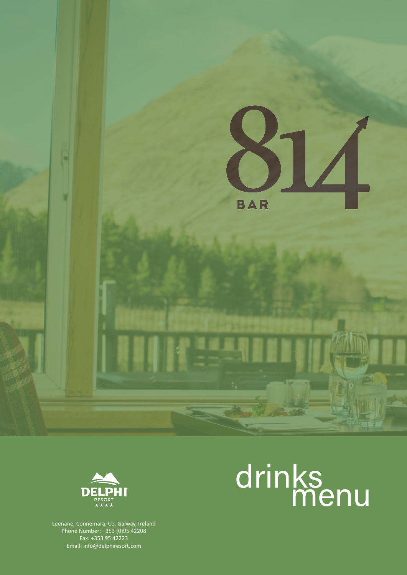



# drinks menu

Leenane, Connemara, Co. Galway, Ireland Phone Number: +353 (0)95 42208 Fax: +353 95 42223 Email: info@delphiresort.com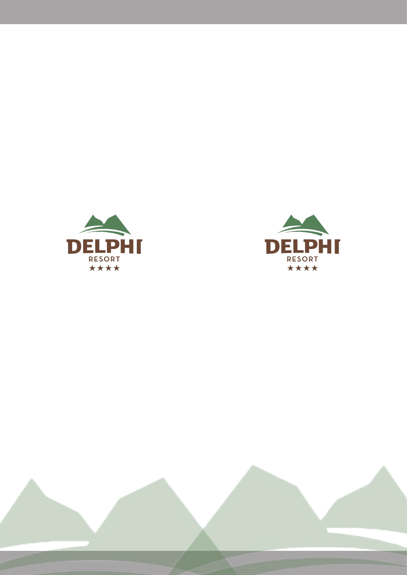



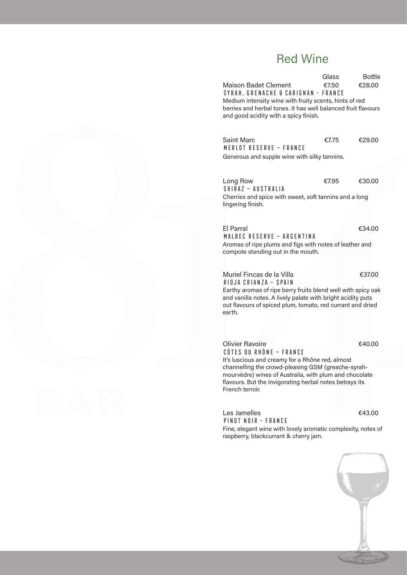#### Red Wine

Glass Bottle Maison Badet Clement €7.50 €28.00 Syrah, GrenachE & Carignan - France Medium intensity wine with fruity scents, hints of red berries and herbal tones. It has well balanced fruit flavours and good acidity with a spicy finish.

Saint Marc  $€7.75$   $€29.00$ Merlot Reserve – France Generous and supple wine with silky tannins.

Long Row €7.95 €30.00 Shiraz – Australia Cherries and spice with sweet, soft tannins and a long lingering finish.

El Parral €34.00 Malbec Reserve – Argentina Aromas of ripe plums and figs with notes of leather and compote standing out in the mouth.

Muriel Fincas de la Villa €37.00 Rioja Crianza – Spain Earthy aromas of ripe berry fruits blend well with spicy oak and vanilla notes. A lively palate with bright acidity puts out flavours of spiced plum, tomato, red currant and dried earth.

Olivier Ravoire €40.00 Côtes du Rhône – France It's luscious and creamy for a Rhône red, almost channelling the crowd-pleasing GSM (greache-syrahmourvèdre) wines of Australia, with plum and chocolate flavours. But the invigorating herbal notes betrays its French terroir.

Les Jamelles **€43.00** Pinot Noir - france

Fine, elegant wine with lovely aromatic complexity, notes of raspberry, blackcurrant & cherry jam.

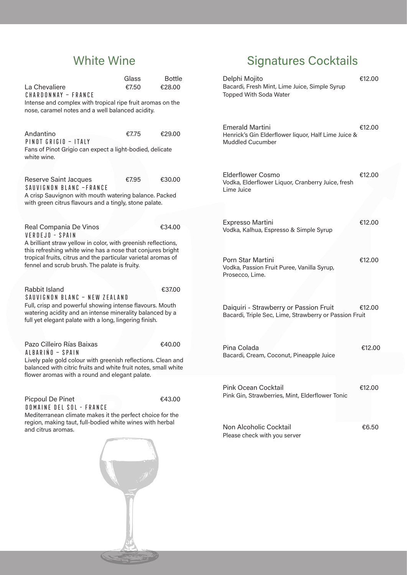## White Wine

| La Chevaliere<br>CHARDONNAY - FRANCE                                                                                                                                                                                                          | Glass<br>€7.50 | <b>Bottle</b><br>€28.00 |  |
|-----------------------------------------------------------------------------------------------------------------------------------------------------------------------------------------------------------------------------------------------|----------------|-------------------------|--|
| Intense and complex with tropical ripe fruit aromas on the<br>nose, caramel notes and a well balanced acidity.                                                                                                                                |                |                         |  |
| Andantino<br>PINOT GRIGIO - ITALY                                                                                                                                                                                                             | €7.75          | €29.00                  |  |
| Fans of Pinot Grigio can expect a light-bodied, delicate<br>white wine.                                                                                                                                                                       |                |                         |  |
| Reserve Saint Jacques<br>SAUVIGNON BLANC -FRANCE<br>A crisp Sauvignon with mouth watering balance. Packed                                                                                                                                     | €7.95          | €30.00                  |  |
| with green citrus flavours and a tingly, stone palate.                                                                                                                                                                                        |                |                         |  |
| Real Compania De Vinos<br>VERDEJO - SPAIN                                                                                                                                                                                                     |                | €34.00                  |  |
| A brilliant straw yellow in color, with greenish reflections,<br>this refreshing white wine has a nose that conjures bright<br>tropical fruits, citrus and the particular varietal aromas of<br>fennel and scrub brush. The palate is fruity. |                |                         |  |
| Rabbit Island<br>SAUVIGNON BLANC - NEW ZEALAND<br>Full, crisp and powerful showing intense flavours. Mouth<br>watering acidity and an intense minerality balanced by a<br>full yet elegant palate with a long, lingering finish.              |                | €37.00                  |  |
| Pazo Cilleiro Rías Baixas<br>ALBARINO - SPAIN                                                                                                                                                                                                 |                | €40.00                  |  |
| Lively pale gold colour with greenish reflections. Clean and<br>balanced with citric fruits and white fruit notes, small white<br>flower aromas with a round and elegant palate.                                                              |                |                         |  |
| <b>Picpoul De Pinet</b><br>DOMAINE DEL SOL - FRANCE                                                                                                                                                                                           |                | €43.00                  |  |
| Mediterranean climate makes it the perfect choice for the<br>region, making taut, full-bodied white wines with herbal<br>and citrus aromas.                                                                                                   |                |                         |  |
|                                                                                                                                                                                                                                               |                |                         |  |
|                                                                                                                                                                                                                                               |                |                         |  |

# Signatures Cocktails

| Delphi Mojito<br>Bacardi, Fresh Mint, Lime Juice, Simple Syrup<br>Topped With Soda Water                 | €12.00 |
|----------------------------------------------------------------------------------------------------------|--------|
| <b>Emerald Martini</b><br>Henrick's Gin Elderflower liquor, Half Lime Juice &<br><b>Muddled Cucumber</b> | €12.00 |
| Elderflower Cosmo<br>Vodka, Elderflower Liquor, Cranberry Juice, fresh<br>Lime Juice                     | €12.00 |
| Expresso Martini<br>Vodka, Kalhua, Espresso & Simple Syrup                                               | €12.00 |
| Porn Star Martini<br>Vodka, Passion Fruit Puree, Vanilla Syrup,<br>Prosecco, Lime.                       | €12.00 |
| Daiquiri - Strawberry or Passion Fruit<br>Bacardi, Triple Sec, Lime, Strawberry or Passion Fruit         | €12.00 |
| Pina Colada<br>Bacardi, Cream, Coconut, Pineapple Juice                                                  | €12.00 |
| Pink Ocean Cocktail<br>Pink Gin, Strawberries, Mint, Elderflower Tonic                                   | €12.00 |
| Non Alcoholic Cocktail<br>Please check with you server                                                   | €6.50  |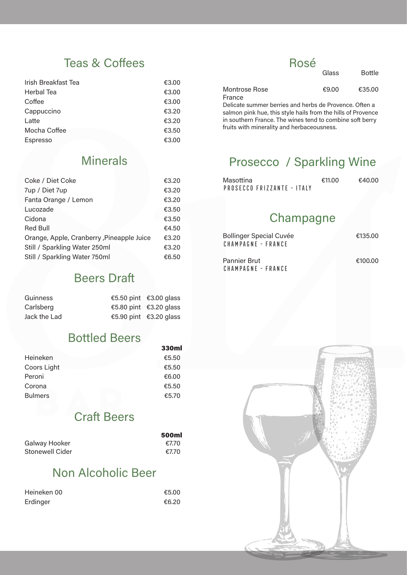#### Teas & Coffees

| Irish Breakfast Tea | €3.00 |
|---------------------|-------|
| Herbal Tea          | €3.00 |
| Coffee              | €3.00 |
| Cappuccino          | €3.20 |
| Latte               | €3.20 |
| Mocha Coffee        | €3.50 |
| <b>Espresso</b>     | €3,00 |
|                     |       |

#### Rosé

| Glass | <b>Bottle</b> |
|-------|---------------|
| €9.00 | €35.00        |

Delicate summer berries and herbs de Provence. Often a salmon pink hue, this style hails from the hills of Provence in southern France. The wines tend to combine soft berry fruits with minerality and herbaceousness.

#### Minerals

| Coke / Diet Coke                          | €3.20 |
|-------------------------------------------|-------|
| 7up / Diet 7up                            | €3.20 |
| Fanta Orange / Lemon                      | €3.20 |
| Lucozade                                  | €3.50 |
| Cidona                                    | €3.50 |
| <b>Red Bull</b>                           | €4.50 |
| Orange, Apple, Cranberry, Pineapple Juice | €3.20 |
| Still / Sparkling Water 250ml             | €3.20 |
| Still / Sparkling Water 750ml             | €6.50 |

#### Beers Draft

| Guinness     | €5.50 pint $€3.00$ glass |
|--------------|--------------------------|
| Carlsberg    | €5.80 pint $€3.20$ glass |
| Jack the Lad | €5.90 pint $€3.20$ glass |

## Bottled Beers

|                | ээчш  |
|----------------|-------|
| Heineken       | €5.50 |
| Coors Light    | €5.50 |
| Peroni         | €6.00 |
| Corona         | €5.50 |
| <b>Bulmers</b> | €5.70 |

#### Craft Beers

|                 | <b>500ml</b> |
|-----------------|--------------|
| Galway Hooker   | €7.70        |
| Stonewell Cider | €7.70        |

#### Non Alcoholic Beer

| Heineken 00 | €5.00 |
|-------------|-------|
| Erdinger    | €6.20 |

### Prosecco / Sparkling Wine

| Masottina |                            | €11.00 | €40.00 |
|-----------|----------------------------|--------|--------|
|           | PROSECCO FRIZZANTE - ITALY |        |        |

#### Champagne

| <b>Bollinger Special Cuvée</b> | €135.00 |
|--------------------------------|---------|
| CHAMPAGNE - FRANCE             |         |
|                                |         |

Pannier Brut **€100.00** Champagne - France

Montrose Rose

France